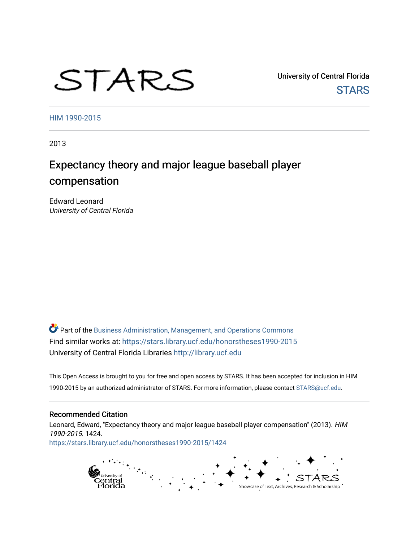# STARS

University of Central Florida **STARS** 

[HIM 1990-2015](https://stars.library.ucf.edu/honorstheses1990-2015) 

2013

# Expectancy theory and major league baseball player compensation

Edward Leonard University of Central Florida

Part of the [Business Administration, Management, and Operations Commons](http://network.bepress.com/hgg/discipline/623?utm_source=stars.library.ucf.edu%2Fhonorstheses1990-2015%2F1424&utm_medium=PDF&utm_campaign=PDFCoverPages) Find similar works at: <https://stars.library.ucf.edu/honorstheses1990-2015> University of Central Florida Libraries [http://library.ucf.edu](http://library.ucf.edu/) 

This Open Access is brought to you for free and open access by STARS. It has been accepted for inclusion in HIM 1990-2015 by an authorized administrator of STARS. For more information, please contact [STARS@ucf.edu](mailto:STARS@ucf.edu).

#### Recommended Citation

Leonard, Edward, "Expectancy theory and major league baseball player compensation" (2013). HIM 1990-2015. 1424. [https://stars.library.ucf.edu/honorstheses1990-2015/1424](https://stars.library.ucf.edu/honorstheses1990-2015/1424?utm_source=stars.library.ucf.edu%2Fhonorstheses1990-2015%2F1424&utm_medium=PDF&utm_campaign=PDFCoverPages) 

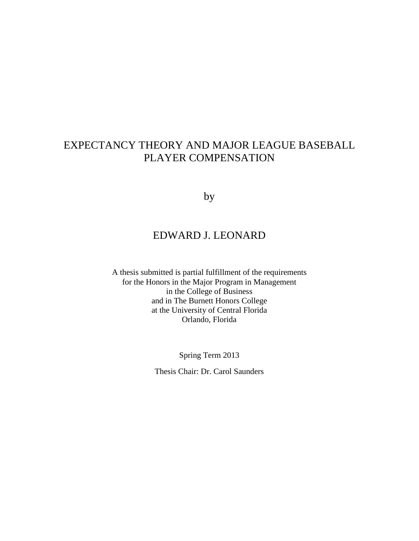# EXPECTANCY THEORY AND MAJOR LEAGUE BASEBALL PLAYER COMPENSATION

by

# EDWARD J. LEONARD

A thesis submitted is partial fulfillment of the requirements for the Honors in the Major Program in Management in the College of Business and in The Burnett Honors College at the University of Central Florida Orlando, Florida

Spring Term 2013

Thesis Chair: Dr. Carol Saunders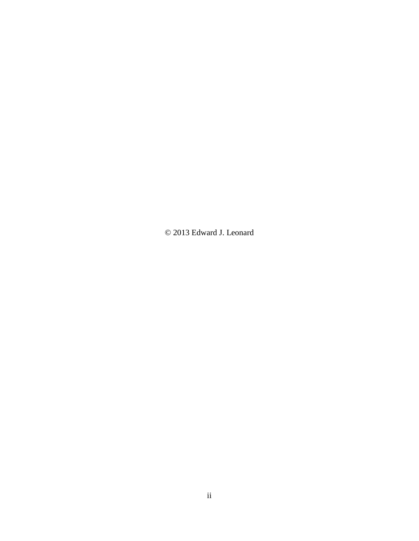© 2013 Edward J. Leonard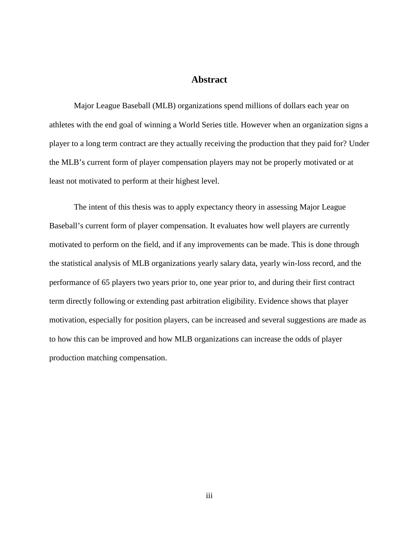## **Abstract**

Major League Baseball (MLB) organizations spend millions of dollars each year on athletes with the end goal of winning a World Series title. However when an organization signs a player to a long term contract are they actually receiving the production that they paid for? Under the MLB's current form of player compensation players may not be properly motivated or at least not motivated to perform at their highest level.

The intent of this thesis was to apply expectancy theory in assessing Major League Baseball's current form of player compensation. It evaluates how well players are currently motivated to perform on the field, and if any improvements can be made. This is done through the statistical analysis of MLB organizations yearly salary data, yearly win-loss record, and the performance of 65 players two years prior to, one year prior to, and during their first contract term directly following or extending past arbitration eligibility. Evidence shows that player motivation, especially for position players, can be increased and several suggestions are made as to how this can be improved and how MLB organizations can increase the odds of player production matching compensation.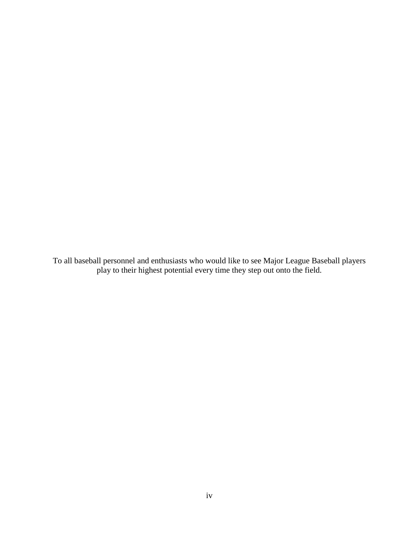To all baseball personnel and enthusiasts who would like to see Major League Baseball players play to their highest potential every time they step out onto the field.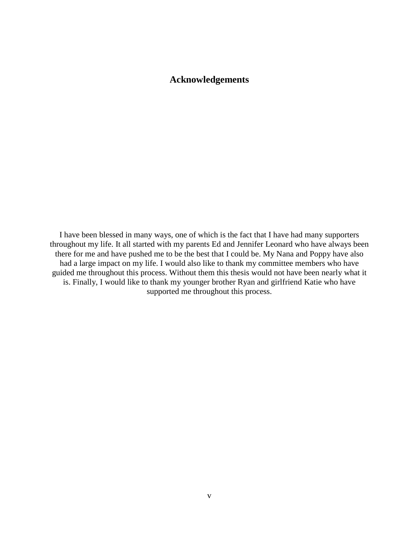# **Acknowledgements**

I have been blessed in many ways, one of which is the fact that I have had many supporters throughout my life. It all started with my parents Ed and Jennifer Leonard who have always been there for me and have pushed me to be the best that I could be. My Nana and Poppy have also had a large impact on my life. I would also like to thank my committee members who have guided me throughout this process. Without them this thesis would not have been nearly what it is. Finally, I would like to thank my younger brother Ryan and girlfriend Katie who have supported me throughout this process.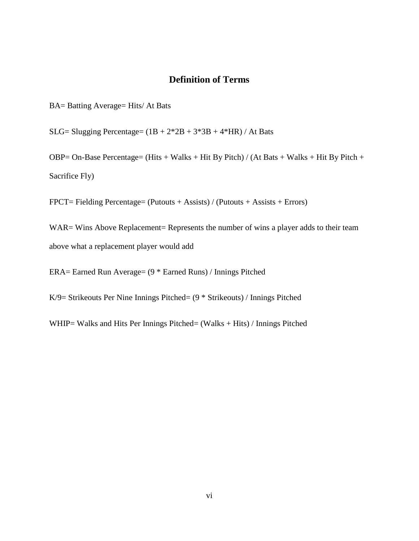# **Definition of Terms**

BA= Batting Average= Hits/ At Bats

SLG= Slugging Percentage=  $(1B + 2*2B + 3*3B + 4*HR)$  / At Bats

OBP= On-Base Percentage= (Hits + Walks + Hit By Pitch) / (At Bats + Walks + Hit By Pitch + Sacrifice Fly)

FPCT= Fielding Percentage= (Putouts + Assists) / (Putouts + Assists + Errors)

WAR= Wins Above Replacement= Represents the number of wins a player adds to their team above what a replacement player would add

ERA= Earned Run Average= (9 \* Earned Runs) / Innings Pitched

K/9= Strikeouts Per Nine Innings Pitched= (9 \* Strikeouts) / Innings Pitched

WHIP= Walks and Hits Per Innings Pitched= (Walks + Hits) / Innings Pitched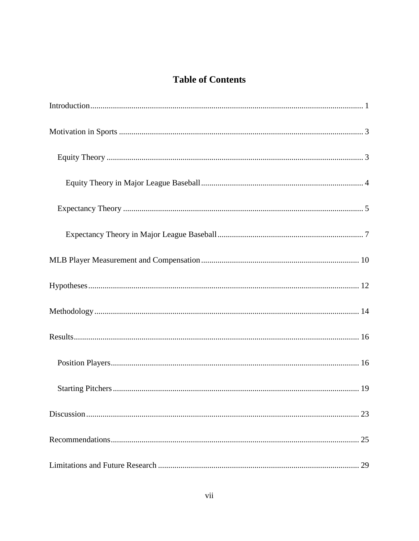# **Table of Contents**

| 23 |
|----|
| 25 |
| 29 |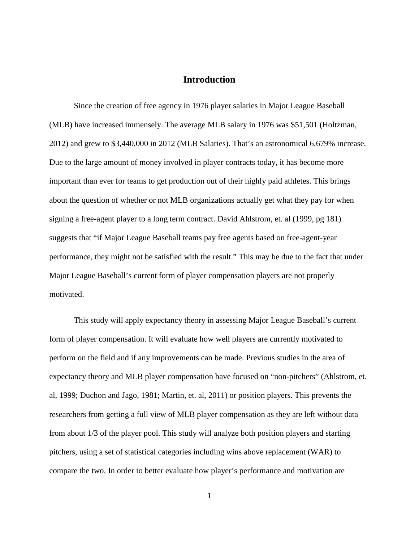# **Introduction**

<span id="page-9-0"></span>Since the creation of free agency in 1976 player salaries in Major League Baseball (MLB) have increased immensely. The average MLB salary in 1976 was \$51,501 (Holtzman, 2012) and grew to \$3,440,000 in 2012 (MLB Salaries). That's an astronomical 6,679% increase. Due to the large amount of money involved in player contracts today, it has become more important than ever for teams to get production out of their highly paid athletes. This brings about the question of whether or not MLB organizations actually get what they pay for when signing a free-agent player to a long term contract. David Ahlstrom, et. al (1999, pg 181) suggests that "if Major League Baseball teams pay free agents based on free-agent-year performance, they might not be satisfied with the result." This may be due to the fact that under Major League Baseball's current form of player compensation players are not properly motivated.

This study will apply expectancy theory in assessing Major League Baseball's current form of player compensation. It will evaluate how well players are currently motivated to perform on the field and if any improvements can be made. Previous studies in the area of expectancy theory and MLB player compensation have focused on "non-pitchers" (Ahlstrom, et. al, 1999; Duchon and Jago, 1981; Martin, et. al, 2011) or position players. This prevents the researchers from getting a full view of MLB player compensation as they are left without data from about 1/3 of the player pool. This study will analyze both position players and starting pitchers, using a set of statistical categories including wins above replacement (WAR) to compare the two. In order to better evaluate how player's performance and motivation are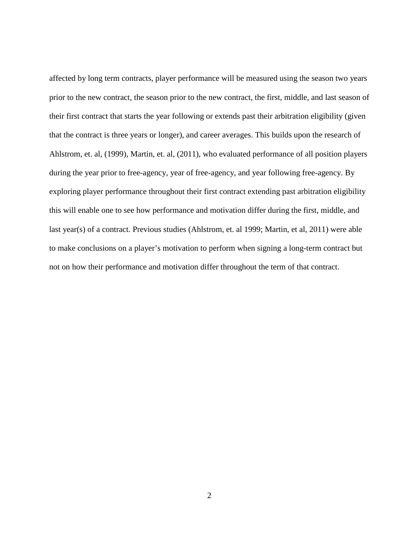affected by long term contracts, player performance will be measured using the season two years prior to the new contract, the season prior to the new contract, the first, middle, and last season of their first contract that starts the year following or extends past their arbitration eligibility (given that the contract is three years or longer), and career averages. This builds upon the research of Ahlstrom, et. al, (1999), Martin, et. al, (2011), who evaluated performance of all position players during the year prior to free-agency, year of free-agency, and year following free-agency. By exploring player performance throughout their first contract extending past arbitration eligibility this will enable one to see how performance and motivation differ during the first, middle, and last year(s) of a contract. Previous studies (Ahlstrom, et. al 1999; Martin, et al, 2011) were able to make conclusions on a player's motivation to perform when signing a long-term contract but not on how their performance and motivation differ throughout the term of that contract.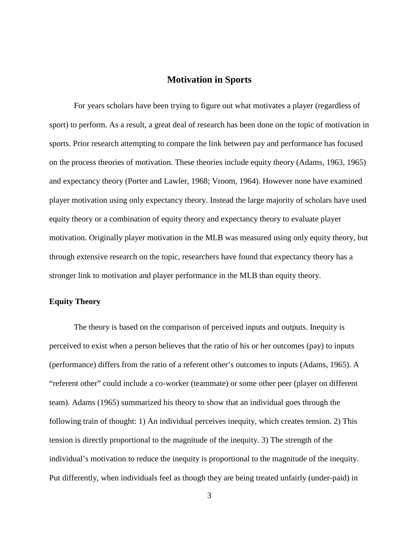## **Motivation in Sports**

<span id="page-11-0"></span>For years scholars have been trying to figure out what motivates a player (regardless of sport) to perform. As a result, a great deal of research has been done on the topic of motivation in sports. Prior research attempting to compare the link between pay and performance has focused on the process theories of motivation. These theories include equity theory (Adams, 1963, 1965) and expectancy theory (Porter and Lawler, 1968; Vroom, 1964). However none have examined player motivation using only expectancy theory. Instead the large majority of scholars have used equity theory or a combination of equity theory and expectancy theory to evaluate player motivation. Originally player motivation in the MLB was measured using only equity theory, but through extensive research on the topic, researchers have found that expectancy theory has a stronger link to motivation and player performance in the MLB than equity theory.

#### <span id="page-11-1"></span>**Equity Theory**

The theory is based on the comparison of perceived inputs and outputs. Inequity is perceived to exist when a person believes that the ratio of his or her outcomes (pay) to inputs (performance) differs from the ratio of a referent other's outcomes to inputs (Adams, 1965). A "referent other" could include a co-worker (teammate) or some other peer (player on different team). Adams (1965) summarized his theory to show that an individual goes through the following train of thought: 1) An individual perceives inequity, which creates tension. 2) This tension is directly proportional to the magnitude of the inequity. 3) The strength of the individual's motivation to reduce the inequity is proportional to the magnitude of the inequity. Put differently, when individuals feel as though they are being treated unfairly (under-paid) in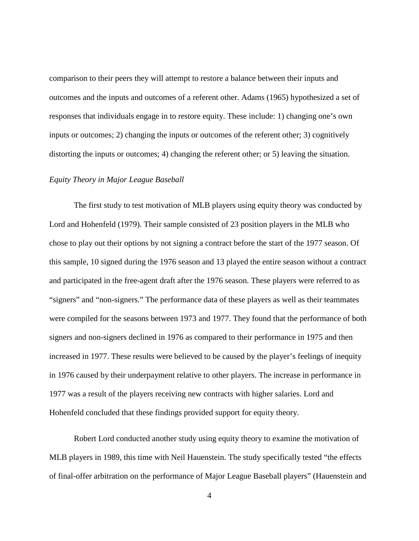comparison to their peers they will attempt to restore a balance between their inputs and outcomes and the inputs and outcomes of a referent other. Adams (1965) hypothesized a set of responses that individuals engage in to restore equity. These include: 1) changing one's own inputs or outcomes; 2) changing the inputs or outcomes of the referent other; 3) cognitively distorting the inputs or outcomes; 4) changing the referent other; or 5) leaving the situation.

#### <span id="page-12-0"></span>*Equity Theory in Major League Baseball*

The first study to test motivation of MLB players using equity theory was conducted by Lord and Hohenfeld (1979). Their sample consisted of 23 position players in the MLB who chose to play out their options by not signing a contract before the start of the 1977 season. Of this sample, 10 signed during the 1976 season and 13 played the entire season without a contract and participated in the free-agent draft after the 1976 season. These players were referred to as "signers" and "non-signers." The performance data of these players as well as their teammates were compiled for the seasons between 1973 and 1977. They found that the performance of both signers and non-signers declined in 1976 as compared to their performance in 1975 and then increased in 1977. These results were believed to be caused by the player's feelings of inequity in 1976 caused by their underpayment relative to other players. The increase in performance in 1977 was a result of the players receiving new contracts with higher salaries. Lord and Hohenfeld concluded that these findings provided support for equity theory.

Robert Lord conducted another study using equity theory to examine the motivation of MLB players in 1989, this time with Neil Hauenstein. The study specifically tested "the effects of final-offer arbitration on the performance of Major League Baseball players" (Hauenstein and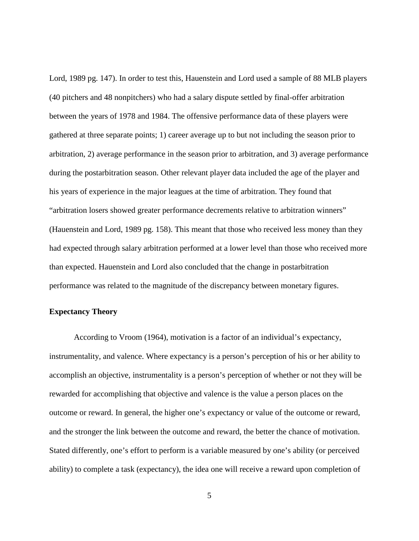Lord, 1989 pg. 147). In order to test this, Hauenstein and Lord used a sample of 88 MLB players (40 pitchers and 48 nonpitchers) who had a salary dispute settled by final-offer arbitration between the years of 1978 and 1984. The offensive performance data of these players were gathered at three separate points; 1) career average up to but not including the season prior to arbitration, 2) average performance in the season prior to arbitration, and 3) average performance during the postarbitration season. Other relevant player data included the age of the player and his years of experience in the major leagues at the time of arbitration. They found that "arbitration losers showed greater performance decrements relative to arbitration winners" (Hauenstein and Lord, 1989 pg. 158). This meant that those who received less money than they had expected through salary arbitration performed at a lower level than those who received more than expected. Hauenstein and Lord also concluded that the change in postarbitration performance was related to the magnitude of the discrepancy between monetary figures.

#### <span id="page-13-0"></span>**Expectancy Theory**

According to Vroom (1964), motivation is a factor of an individual's expectancy, instrumentality, and valence. Where expectancy is a person's perception of his or her ability to accomplish an objective, instrumentality is a person's perception of whether or not they will be rewarded for accomplishing that objective and valence is the value a person places on the outcome or reward. In general, the higher one's expectancy or value of the outcome or reward, and the stronger the link between the outcome and reward, the better the chance of motivation. Stated differently, one's effort to perform is a variable measured by one's ability (or perceived ability) to complete a task (expectancy), the idea one will receive a reward upon completion of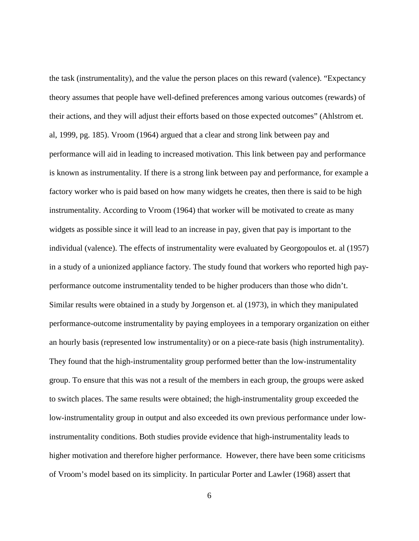the task (instrumentality), and the value the person places on this reward (valence). "Expectancy theory assumes that people have well-defined preferences among various outcomes (rewards) of their actions, and they will adjust their efforts based on those expected outcomes" (Ahlstrom et. al, 1999, pg. 185). Vroom (1964) argued that a clear and strong link between pay and performance will aid in leading to increased motivation. This link between pay and performance is known as instrumentality. If there is a strong link between pay and performance, for example a factory worker who is paid based on how many widgets he creates, then there is said to be high instrumentality. According to Vroom (1964) that worker will be motivated to create as many widgets as possible since it will lead to an increase in pay, given that pay is important to the individual (valence). The effects of instrumentality were evaluated by Georgopoulos et. al (1957) in a study of a unionized appliance factory. The study found that workers who reported high payperformance outcome instrumentality tended to be higher producers than those who didn't. Similar results were obtained in a study by Jorgenson et. al (1973), in which they manipulated performance-outcome instrumentality by paying employees in a temporary organization on either an hourly basis (represented low instrumentality) or on a piece-rate basis (high instrumentality). They found that the high-instrumentality group performed better than the low-instrumentality group. To ensure that this was not a result of the members in each group, the groups were asked to switch places. The same results were obtained; the high-instrumentality group exceeded the low-instrumentality group in output and also exceeded its own previous performance under lowinstrumentality conditions. Both studies provide evidence that high-instrumentality leads to higher motivation and therefore higher performance. However, there have been some criticisms of Vroom's model based on its simplicity. In particular Porter and Lawler (1968) assert that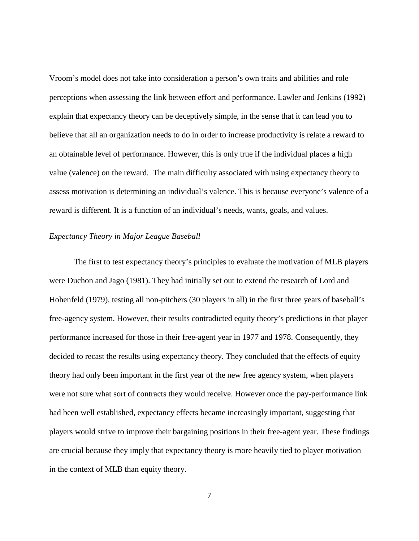Vroom's model does not take into consideration a person's own traits and abilities and role perceptions when assessing the link between effort and performance. Lawler and Jenkins (1992) explain that expectancy theory can be deceptively simple, in the sense that it can lead you to believe that all an organization needs to do in order to increase productivity is relate a reward to an obtainable level of performance. However, this is only true if the individual places a high value (valence) on the reward. The main difficulty associated with using expectancy theory to assess motivation is determining an individual's valence. This is because everyone's valence of a reward is different. It is a function of an individual's needs, wants, goals, and values.

#### <span id="page-15-0"></span>*Expectancy Theory in Major League Baseball*

The first to test expectancy theory's principles to evaluate the motivation of MLB players were Duchon and Jago (1981). They had initially set out to extend the research of Lord and Hohenfeld (1979), testing all non-pitchers (30 players in all) in the first three years of baseball's free-agency system. However, their results contradicted equity theory's predictions in that player performance increased for those in their free-agent year in 1977 and 1978. Consequently, they decided to recast the results using expectancy theory. They concluded that the effects of equity theory had only been important in the first year of the new free agency system, when players were not sure what sort of contracts they would receive. However once the pay-performance link had been well established, expectancy effects became increasingly important, suggesting that players would strive to improve their bargaining positions in their free-agent year. These findings are crucial because they imply that expectancy theory is more heavily tied to player motivation in the context of MLB than equity theory.

7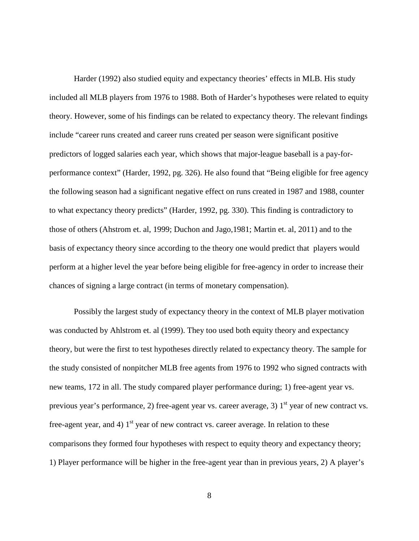Harder (1992) also studied equity and expectancy theories' effects in MLB. His study included all MLB players from 1976 to 1988. Both of Harder's hypotheses were related to equity theory. However, some of his findings can be related to expectancy theory. The relevant findings include "career runs created and career runs created per season were significant positive predictors of logged salaries each year, which shows that major-league baseball is a pay-forperformance context" (Harder, 1992, pg. 326). He also found that "Being eligible for free agency the following season had a significant negative effect on runs created in 1987 and 1988, counter to what expectancy theory predicts" (Harder, 1992, pg. 330). This finding is contradictory to those of others (Ahstrom et. al, 1999; Duchon and Jago,1981; Martin et. al, 2011) and to the basis of expectancy theory since according to the theory one would predict that players would perform at a higher level the year before being eligible for free-agency in order to increase their chances of signing a large contract (in terms of monetary compensation).

Possibly the largest study of expectancy theory in the context of MLB player motivation was conducted by Ahlstrom et. al (1999). They too used both equity theory and expectancy theory, but were the first to test hypotheses directly related to expectancy theory. The sample for the study consisted of nonpitcher MLB free agents from 1976 to 1992 who signed contracts with new teams, 172 in all. The study compared player performance during; 1) free-agent year vs. previous year's performance, 2) free-agent year vs. career average, 3)  $1<sup>st</sup>$  year of new contract vs. free-agent year, and 4)  $1<sup>st</sup>$  year of new contract vs. career average. In relation to these comparisons they formed four hypotheses with respect to equity theory and expectancy theory; 1) Player performance will be higher in the free-agent year than in previous years, 2) A player's

8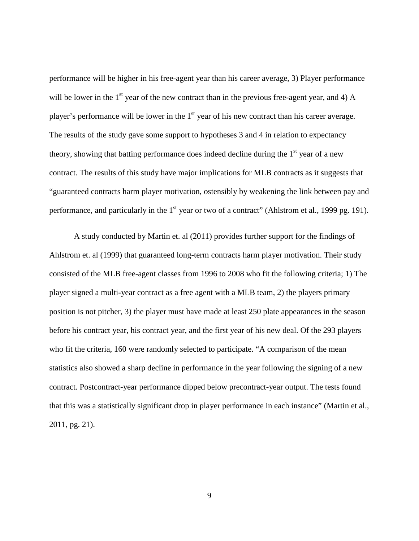performance will be higher in his free-agent year than his career average, 3) Player performance will be lower in the  $1<sup>st</sup>$  year of the new contract than in the previous free-agent year, and 4) A player's performance will be lower in the  $1<sup>st</sup>$  year of his new contract than his career average. The results of the study gave some support to hypotheses 3 and 4 in relation to expectancy theory, showing that batting performance does indeed decline during the  $1<sup>st</sup>$  year of a new contract. The results of this study have major implications for MLB contracts as it suggests that "guaranteed contracts harm player motivation, ostensibly by weakening the link between pay and performance, and particularly in the 1<sup>st</sup> year or two of a contract" (Ahlstrom et al., 1999 pg. 191).

A study conducted by Martin et. al (2011) provides further support for the findings of Ahlstrom et. al (1999) that guaranteed long-term contracts harm player motivation. Their study consisted of the MLB free-agent classes from 1996 to 2008 who fit the following criteria; 1) The player signed a multi-year contract as a free agent with a MLB team, 2) the players primary position is not pitcher, 3) the player must have made at least 250 plate appearances in the season before his contract year, his contract year, and the first year of his new deal. Of the 293 players who fit the criteria, 160 were randomly selected to participate. "A comparison of the mean statistics also showed a sharp decline in performance in the year following the signing of a new contract. Postcontract-year performance dipped below precontract-year output. The tests found that this was a statistically significant drop in player performance in each instance" (Martin et al., 2011, pg. 21).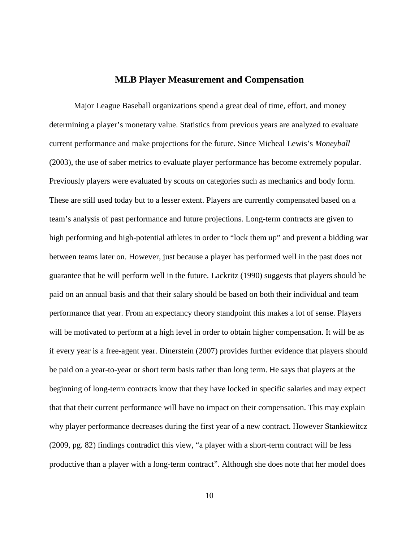#### **MLB Player Measurement and Compensation**

<span id="page-18-0"></span>Major League Baseball organizations spend a great deal of time, effort, and money determining a player's monetary value. Statistics from previous years are analyzed to evaluate current performance and make projections for the future. Since Micheal Lewis's *Moneyball*  (2003), the use of saber metrics to evaluate player performance has become extremely popular. Previously players were evaluated by scouts on categories such as mechanics and body form. These are still used today but to a lesser extent. Players are currently compensated based on a team's analysis of past performance and future projections. Long-term contracts are given to high performing and high-potential athletes in order to "lock them up" and prevent a bidding war between teams later on. However, just because a player has performed well in the past does not guarantee that he will perform well in the future. Lackritz (1990) suggests that players should be paid on an annual basis and that their salary should be based on both their individual and team performance that year. From an expectancy theory standpoint this makes a lot of sense. Players will be motivated to perform at a high level in order to obtain higher compensation. It will be as if every year is a free-agent year. Dinerstein (2007) provides further evidence that players should be paid on a year-to-year or short term basis rather than long term. He says that players at the beginning of long-term contracts know that they have locked in specific salaries and may expect that that their current performance will have no impact on their compensation. This may explain why player performance decreases during the first year of a new contract. However Stankiewitcz (2009, pg. 82) findings contradict this view, "a player with a short-term contract will be less productive than a player with a long-term contract". Although she does note that her model does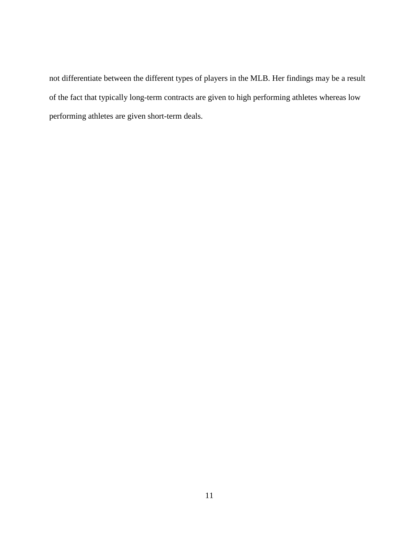not differentiate between the different types of players in the MLB. Her findings may be a result of the fact that typically long-term contracts are given to high performing athletes whereas low performing athletes are given short-term deals.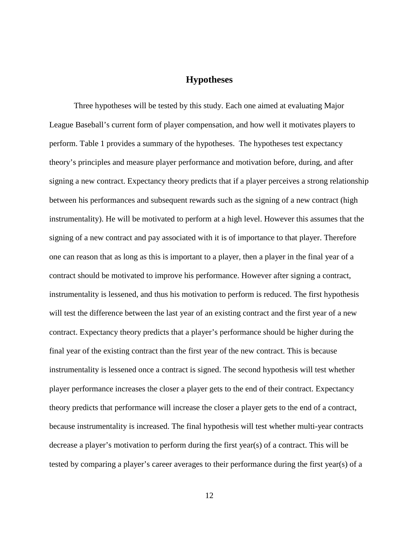## **Hypotheses**

<span id="page-20-0"></span>Three hypotheses will be tested by this study. Each one aimed at evaluating Major League Baseball's current form of player compensation, and how well it motivates players to perform. Table 1 provides a summary of the hypotheses. The hypotheses test expectancy theory's principles and measure player performance and motivation before, during, and after signing a new contract. Expectancy theory predicts that if a player perceives a strong relationship between his performances and subsequent rewards such as the signing of a new contract (high instrumentality). He will be motivated to perform at a high level. However this assumes that the signing of a new contract and pay associated with it is of importance to that player. Therefore one can reason that as long as this is important to a player, then a player in the final year of a contract should be motivated to improve his performance. However after signing a contract, instrumentality is lessened, and thus his motivation to perform is reduced. The first hypothesis will test the difference between the last year of an existing contract and the first year of a new contract. Expectancy theory predicts that a player's performance should be higher during the final year of the existing contract than the first year of the new contract. This is because instrumentality is lessened once a contract is signed. The second hypothesis will test whether player performance increases the closer a player gets to the end of their contract. Expectancy theory predicts that performance will increase the closer a player gets to the end of a contract, because instrumentality is increased. The final hypothesis will test whether multi-year contracts decrease a player's motivation to perform during the first year(s) of a contract. This will be tested by comparing a player's career averages to their performance during the first year(s) of a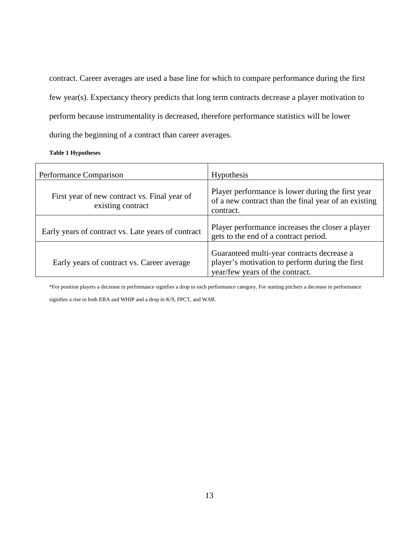contract. Career averages are used a base line for which to compare performance during the first few year(s). Expectancy theory predicts that long term contracts decrease a player motivation to perform because instrumentality is decreased, therefore performance statistics will be lower during the beginning of a contract than career averages.

#### **Table 1 Hypotheses**

| Performance Comparison                                            | <b>Hypothesis</b>                                                                                                                |
|-------------------------------------------------------------------|----------------------------------------------------------------------------------------------------------------------------------|
| First year of new contract vs. Final year of<br>existing contract | Player performance is lower during the first year<br>of a new contract than the final year of an existing<br>contract.           |
| Early years of contract vs. Late years of contract                | Player performance increases the closer a player<br>gets to the end of a contract period.                                        |
| Early years of contract vs. Career average                        | Guaranteed multi-year contracts decrease a<br>player's motivation to perform during the first<br>year/few years of the contract. |

\*For position players a decrease in performance signifies a drop in each performance category. For starting pitchers a decrease in performance signifies a rise in both ERA and WHIP and a drop in K/9, FPCT, and WAR.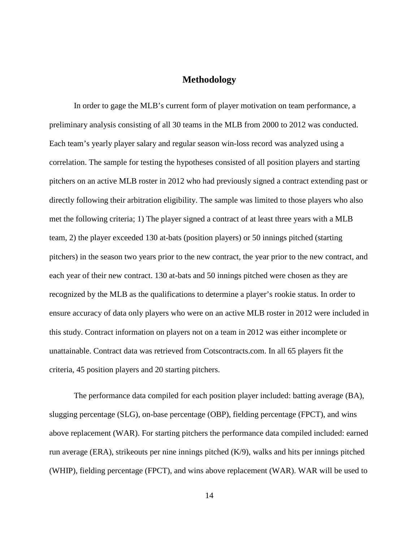# **Methodology**

<span id="page-22-0"></span>In order to gage the MLB's current form of player motivation on team performance, a preliminary analysis consisting of all 30 teams in the MLB from 2000 to 2012 was conducted. Each team's yearly player salary and regular season win-loss record was analyzed using a correlation. The sample for testing the hypotheses consisted of all position players and starting pitchers on an active MLB roster in 2012 who had previously signed a contract extending past or directly following their arbitration eligibility. The sample was limited to those players who also met the following criteria; 1) The player signed a contract of at least three years with a MLB team, 2) the player exceeded 130 at-bats (position players) or 50 innings pitched (starting pitchers) in the season two years prior to the new contract, the year prior to the new contract, and each year of their new contract. 130 at-bats and 50 innings pitched were chosen as they are recognized by the MLB as the qualifications to determine a player's rookie status. In order to ensure accuracy of data only players who were on an active MLB roster in 2012 were included in this study. Contract information on players not on a team in 2012 was either incomplete or unattainable. Contract data was retrieved from Cotscontracts.com. In all 65 players fit the criteria, 45 position players and 20 starting pitchers.

The performance data compiled for each position player included: batting average (BA), slugging percentage (SLG), on-base percentage (OBP), fielding percentage (FPCT), and wins above replacement (WAR). For starting pitchers the performance data compiled included: earned run average (ERA), strikeouts per nine innings pitched (K/9), walks and hits per innings pitched (WHIP), fielding percentage (FPCT), and wins above replacement (WAR). WAR will be used to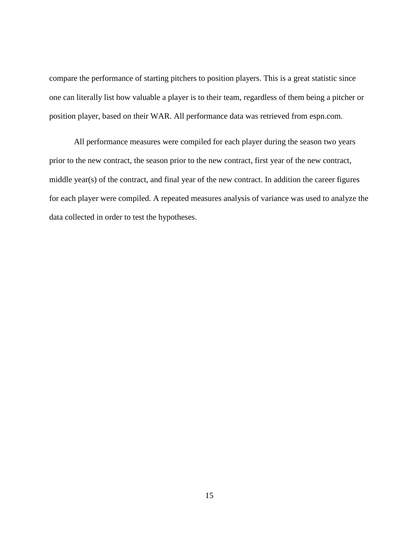compare the performance of starting pitchers to position players. This is a great statistic since one can literally list how valuable a player is to their team, regardless of them being a pitcher or position player, based on their WAR. All performance data was retrieved from espn.com.

 All performance measures were compiled for each player during the season two years prior to the new contract, the season prior to the new contract, first year of the new contract, middle year(s) of the contract, and final year of the new contract. In addition the career figures for each player were compiled. A repeated measures analysis of variance was used to analyze the data collected in order to test the hypotheses.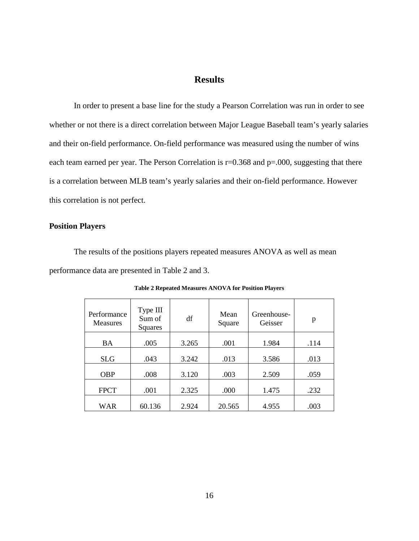# **Results**

<span id="page-24-0"></span>In order to present a base line for the study a Pearson Correlation was run in order to see whether or not there is a direct correlation between Major League Baseball team's yearly salaries and their on-field performance. On-field performance was measured using the number of wins each team earned per year. The Person Correlation is  $r=0.368$  and  $p=.000$ , suggesting that there is a correlation between MLB team's yearly salaries and their on-field performance. However this correlation is not perfect.

#### <span id="page-24-1"></span>**Position Players**

The results of the positions players repeated measures ANOVA as well as mean performance data are presented in Table 2 and 3.

| Performance<br><b>Measures</b> | Type III<br>Sum of<br>Squares | df    | Mean<br>Square | Greenhouse-<br>Geisser | p    |
|--------------------------------|-------------------------------|-------|----------------|------------------------|------|
| <b>BA</b>                      | .005                          | 3.265 | .001           | 1.984                  | .114 |
| <b>SLG</b>                     | .043                          | 3.242 | .013           | 3.586                  | .013 |
| <b>OBP</b>                     | .008                          | 3.120 | .003           | 2.509                  | .059 |
| <b>FPCT</b>                    | .001                          | 2.325 | .000           | 1.475                  | .232 |
| <b>WAR</b>                     | 60.136                        | 2.924 | 20.565         | 4.955                  | .003 |

**Table 2 Repeated Measures ANOVA for Position Players**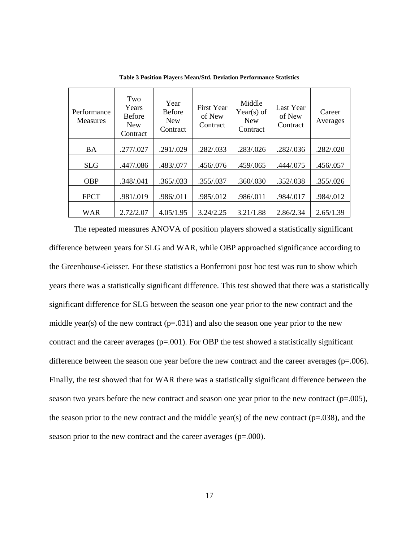| Performance<br><b>Measures</b> | Two<br>Years<br><b>Before</b><br><b>New</b><br>Contract | Year<br><b>Before</b><br><b>New</b><br>Contract | <b>First Year</b><br>of New<br>Contract | Middle<br>Year(s) of<br><b>New</b><br>Contract | Last Year<br>of New<br>Contract | Career<br>Averages |
|--------------------------------|---------------------------------------------------------|-------------------------------------------------|-----------------------------------------|------------------------------------------------|---------------------------------|--------------------|
| <b>BA</b>                      | .277/.027                                               | .291/.029                                       | .282/.033                               | .283/.026                                      | .282/.036                       | .282/.020          |
| <b>SLG</b>                     | .447/.086                                               | .483/.077                                       | .456/.076                               | .459/.065                                      | .444/.075                       | .456/.057          |
| <b>OBP</b>                     | .348/.041                                               | .365/.033                                       | .355/.037                               | .360/.030                                      | .352/.038                       | .355/.026          |
| <b>FPCT</b>                    | .981/.019                                               | .986/.011                                       | .985/.012                               | .986/.011                                      | .984/.017                       | .984/.012          |
| WAR                            | 2.72/2.07                                               | 4.05/1.95                                       | 3.24/2.25                               | 3.21/1.88                                      | 2.86/2.34                       | 2.65/1.39          |

**Table 3 Position Players Mean/Std. Deviation Performance Statistics**

The repeated measures ANOVA of position players showed a statistically significant difference between years for SLG and WAR, while OBP approached significance according to the Greenhouse-Geisser. For these statistics a Bonferroni post hoc test was run to show which years there was a statistically significant difference. This test showed that there was a statistically significant difference for SLG between the season one year prior to the new contract and the middle year(s) of the new contract  $(p=.031)$  and also the season one year prior to the new contract and the career averages  $(p=.001)$ . For OBP the test showed a statistically significant difference between the season one year before the new contract and the career averages  $(p=.006)$ . Finally, the test showed that for WAR there was a statistically significant difference between the season two years before the new contract and season one year prior to the new contract (p=.005), the season prior to the new contract and the middle year(s) of the new contract ( $p=0.038$ ), and the season prior to the new contract and the career averages (p=.000).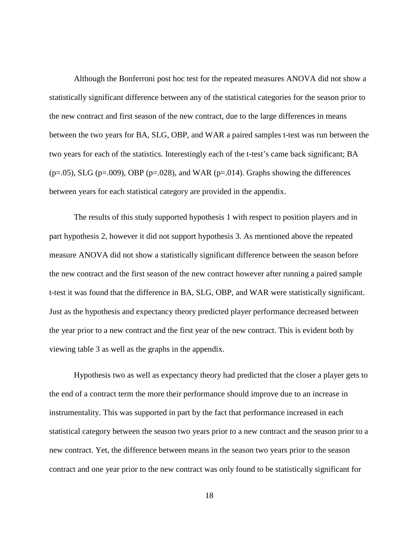Although the Bonferroni post hoc test for the repeated measures ANOVA did not show a statistically significant difference between any of the statistical categories for the season prior to the new contract and first season of the new contract, due to the large differences in means between the two years for BA, SLG, OBP, and WAR a paired samples t-test was run between the two years for each of the statistics. Interestingly each of the t-test's came back significant; BA  $(p=.05)$ , SLG  $(p=.009)$ , OBP  $(p=.028)$ , and WAR  $(p=.014)$ . Graphs showing the differences between years for each statistical category are provided in the appendix.

The results of this study supported hypothesis 1 with respect to position players and in part hypothesis 2, however it did not support hypothesis 3. As mentioned above the repeated measure ANOVA did not show a statistically significant difference between the season before the new contract and the first season of the new contract however after running a paired sample t-test it was found that the difference in BA, SLG, OBP, and WAR were statistically significant. Just as the hypothesis and expectancy theory predicted player performance decreased between the year prior to a new contract and the first year of the new contract. This is evident both by viewing table 3 as well as the graphs in the appendix.

Hypothesis two as well as expectancy theory had predicted that the closer a player gets to the end of a contract term the more their performance should improve due to an increase in instrumentality. This was supported in part by the fact that performance increased in each statistical category between the season two years prior to a new contract and the season prior to a new contract. Yet, the difference between means in the season two years prior to the season contract and one year prior to the new contract was only found to be statistically significant for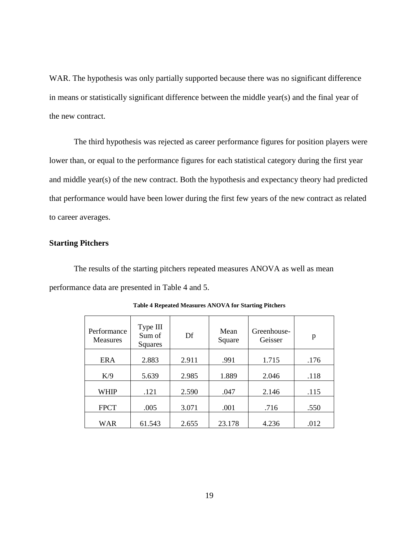WAR. The hypothesis was only partially supported because there was no significant difference in means or statistically significant difference between the middle year(s) and the final year of the new contract.

The third hypothesis was rejected as career performance figures for position players were lower than, or equal to the performance figures for each statistical category during the first year and middle year(s) of the new contract. Both the hypothesis and expectancy theory had predicted that performance would have been lower during the first few years of the new contract as related to career averages.

#### <span id="page-27-0"></span>**Starting Pitchers**

The results of the starting pitchers repeated measures ANOVA as well as mean performance data are presented in Table 4 and 5.

| Performance<br><b>Measures</b> | Type III<br>Sum of<br>Squares | Df    | Mean<br>Square | Greenhouse-<br>Geisser | p    |
|--------------------------------|-------------------------------|-------|----------------|------------------------|------|
| <b>ERA</b>                     | 2.883                         | 2.911 | .991           | 1.715                  | .176 |
|                                |                               |       |                |                        |      |
| K/9                            | 5.639                         | 2.985 | 1.889          | 2.046                  | .118 |
| <b>WHIP</b>                    | .121                          | 2.590 | .047           | 2.146                  | .115 |
| <b>FPCT</b>                    | .005                          | 3.071 | .001           | .716                   | .550 |
| <b>WAR</b>                     | 61.543                        | 2.655 | 23.178         | 4.236                  | .012 |

**Table 4 Repeated Measures ANOVA for Starting Pitchers**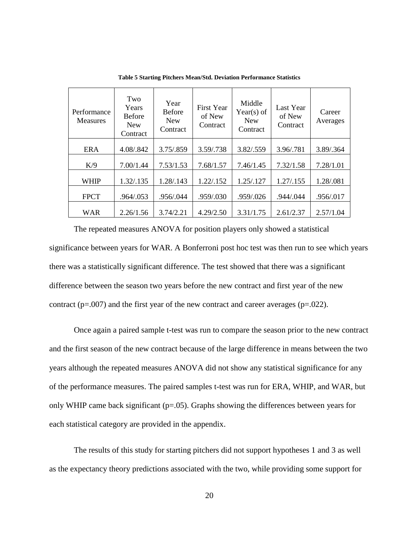| Performance<br><b>Measures</b> | Two<br>Years<br><b>Before</b><br><b>New</b><br>Contract | Year<br><b>Before</b><br><b>New</b><br>Contract | <b>First Year</b><br>of New<br>Contract | Middle<br>Year(s) of<br><b>New</b><br>Contract | Last Year<br>of New<br>Contract | Career<br>Averages |
|--------------------------------|---------------------------------------------------------|-------------------------------------------------|-----------------------------------------|------------------------------------------------|---------------------------------|--------------------|
| <b>ERA</b>                     | 4.08/.842                                               | 3.75/.859                                       | 3.59/.738                               | 3.82/.559                                      | 3.96/.781                       | 3.89/.364          |
| K/9                            | 7.00/1.44                                               | 7.53/1.53                                       | 7.68/1.57                               | 7.46/1.45                                      | 7.32/1.58                       | 7.28/1.01          |
| <b>WHIP</b>                    | 1.32/.135                                               | 1.28/.143                                       | 1.22/.152                               | 1.25/.127                                      | 1.27/.155                       | 1.28/.081          |
| <b>FPCT</b>                    | .964/.053                                               | .956/.044                                       | .959/.030                               | .959/.026                                      | .944/.044                       | .956/.017          |
| WAR                            | 2.26/1.56                                               | 3.74/2.21                                       | 4.29/2.50                               | 3.31/1.75                                      | 2.61/2.37                       | 2.57/1.04          |

**Table 5 Starting Pitchers Mean/Std. Deviation Performance Statistics**

The repeated measures ANOVA for position players only showed a statistical significance between years for WAR. A Bonferroni post hoc test was then run to see which years there was a statistically significant difference. The test showed that there was a significant difference between the season two years before the new contract and first year of the new contract ( $p=.007$ ) and the first year of the new contract and career averages ( $p=.022$ ).

Once again a paired sample t-test was run to compare the season prior to the new contract and the first season of the new contract because of the large difference in means between the two years although the repeated measures ANOVA did not show any statistical significance for any of the performance measures. The paired samples t-test was run for ERA, WHIP, and WAR, but only WHIP came back significant ( $p=0.05$ ). Graphs showing the differences between years for each statistical category are provided in the appendix.

The results of this study for starting pitchers did not support hypotheses 1 and 3 as well as the expectancy theory predictions associated with the two, while providing some support for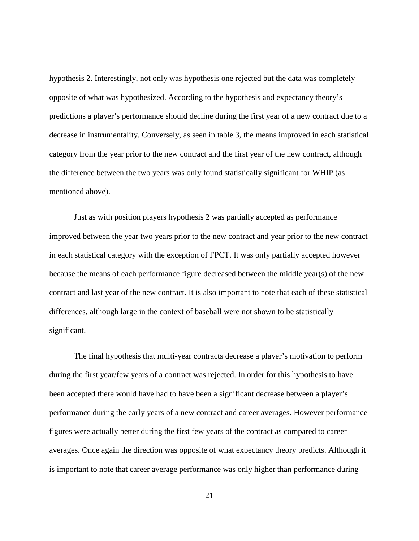hypothesis 2. Interestingly, not only was hypothesis one rejected but the data was completely opposite of what was hypothesized. According to the hypothesis and expectancy theory's predictions a player's performance should decline during the first year of a new contract due to a decrease in instrumentality. Conversely, as seen in table 3, the means improved in each statistical category from the year prior to the new contract and the first year of the new contract, although the difference between the two years was only found statistically significant for WHIP (as mentioned above).

Just as with position players hypothesis 2 was partially accepted as performance improved between the year two years prior to the new contract and year prior to the new contract in each statistical category with the exception of FPCT. It was only partially accepted however because the means of each performance figure decreased between the middle year(s) of the new contract and last year of the new contract. It is also important to note that each of these statistical differences, although large in the context of baseball were not shown to be statistically significant.

The final hypothesis that multi-year contracts decrease a player's motivation to perform during the first year/few years of a contract was rejected. In order for this hypothesis to have been accepted there would have had to have been a significant decrease between a player's performance during the early years of a new contract and career averages. However performance figures were actually better during the first few years of the contract as compared to career averages. Once again the direction was opposite of what expectancy theory predicts. Although it is important to note that career average performance was only higher than performance during

21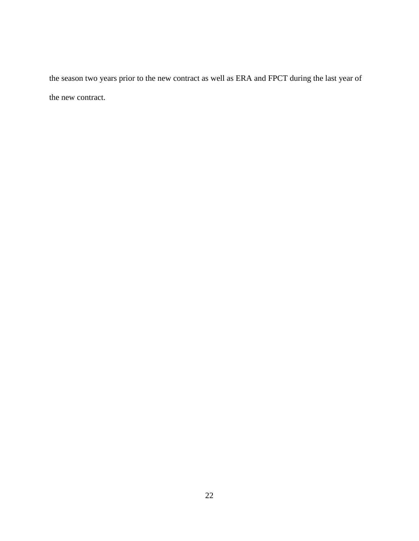the season two years prior to the new contract as well as ERA and FPCT during the last year of the new contract.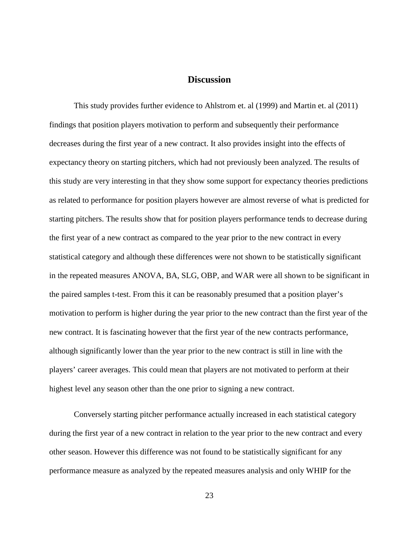# **Discussion**

<span id="page-31-0"></span>This study provides further evidence to Ahlstrom et. al (1999) and Martin et. al (2011) findings that position players motivation to perform and subsequently their performance decreases during the first year of a new contract. It also provides insight into the effects of expectancy theory on starting pitchers, which had not previously been analyzed. The results of this study are very interesting in that they show some support for expectancy theories predictions as related to performance for position players however are almost reverse of what is predicted for starting pitchers. The results show that for position players performance tends to decrease during the first year of a new contract as compared to the year prior to the new contract in every statistical category and although these differences were not shown to be statistically significant in the repeated measures ANOVA, BA, SLG, OBP, and WAR were all shown to be significant in the paired samples t-test. From this it can be reasonably presumed that a position player's motivation to perform is higher during the year prior to the new contract than the first year of the new contract. It is fascinating however that the first year of the new contracts performance, although significantly lower than the year prior to the new contract is still in line with the players' career averages. This could mean that players are not motivated to perform at their highest level any season other than the one prior to signing a new contract.

Conversely starting pitcher performance actually increased in each statistical category during the first year of a new contract in relation to the year prior to the new contract and every other season. However this difference was not found to be statistically significant for any performance measure as analyzed by the repeated measures analysis and only WHIP for the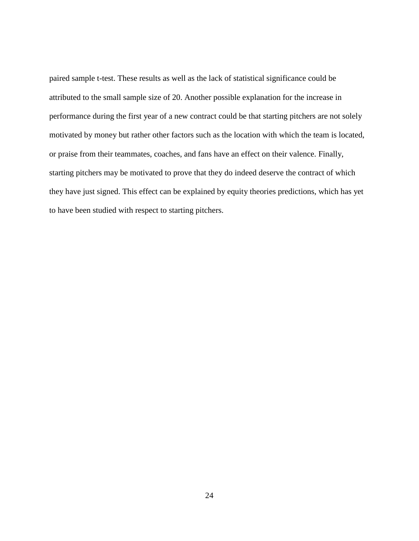paired sample t-test. These results as well as the lack of statistical significance could be attributed to the small sample size of 20. Another possible explanation for the increase in performance during the first year of a new contract could be that starting pitchers are not solely motivated by money but rather other factors such as the location with which the team is located, or praise from their teammates, coaches, and fans have an effect on their valence. Finally, starting pitchers may be motivated to prove that they do indeed deserve the contract of which they have just signed. This effect can be explained by equity theories predictions, which has yet to have been studied with respect to starting pitchers.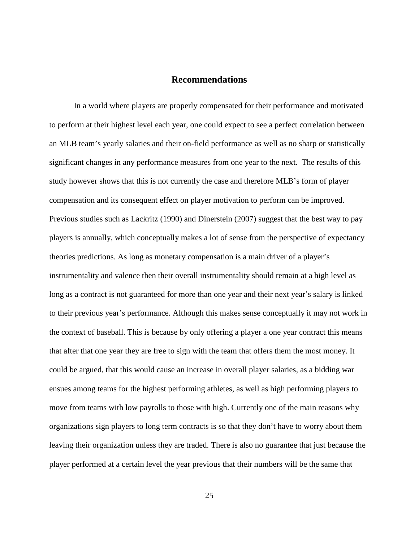## **Recommendations**

<span id="page-33-0"></span>In a world where players are properly compensated for their performance and motivated to perform at their highest level each year, one could expect to see a perfect correlation between an MLB team's yearly salaries and their on-field performance as well as no sharp or statistically significant changes in any performance measures from one year to the next. The results of this study however shows that this is not currently the case and therefore MLB's form of player compensation and its consequent effect on player motivation to perform can be improved. Previous studies such as Lackritz (1990) and Dinerstein (2007) suggest that the best way to pay players is annually, which conceptually makes a lot of sense from the perspective of expectancy theories predictions. As long as monetary compensation is a main driver of a player's instrumentality and valence then their overall instrumentality should remain at a high level as long as a contract is not guaranteed for more than one year and their next year's salary is linked to their previous year's performance. Although this makes sense conceptually it may not work in the context of baseball. This is because by only offering a player a one year contract this means that after that one year they are free to sign with the team that offers them the most money. It could be argued, that this would cause an increase in overall player salaries, as a bidding war ensues among teams for the highest performing athletes, as well as high performing players to move from teams with low payrolls to those with high. Currently one of the main reasons why organizations sign players to long term contracts is so that they don't have to worry about them leaving their organization unless they are traded. There is also no guarantee that just because the player performed at a certain level the year previous that their numbers will be the same that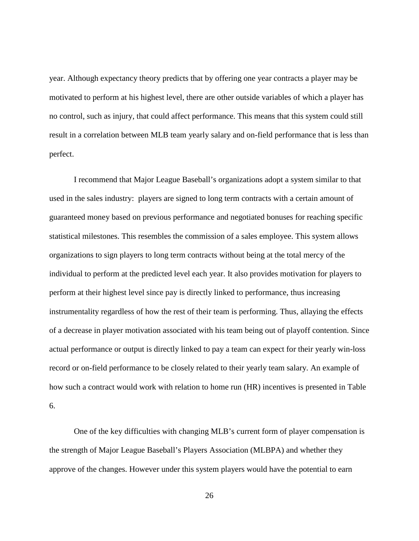year. Although expectancy theory predicts that by offering one year contracts a player may be motivated to perform at his highest level, there are other outside variables of which a player has no control, such as injury, that could affect performance. This means that this system could still result in a correlation between MLB team yearly salary and on-field performance that is less than perfect.

I recommend that Major League Baseball's organizations adopt a system similar to that used in the sales industry: players are signed to long term contracts with a certain amount of guaranteed money based on previous performance and negotiated bonuses for reaching specific statistical milestones. This resembles the commission of a sales employee. This system allows organizations to sign players to long term contracts without being at the total mercy of the individual to perform at the predicted level each year. It also provides motivation for players to perform at their highest level since pay is directly linked to performance, thus increasing instrumentality regardless of how the rest of their team is performing. Thus, allaying the effects of a decrease in player motivation associated with his team being out of playoff contention. Since actual performance or output is directly linked to pay a team can expect for their yearly win-loss record or on-field performance to be closely related to their yearly team salary. An example of how such a contract would work with relation to home run (HR) incentives is presented in Table 6.

One of the key difficulties with changing MLB's current form of player compensation is the strength of Major League Baseball's Players Association (MLBPA) and whether they approve of the changes. However under this system players would have the potential to earn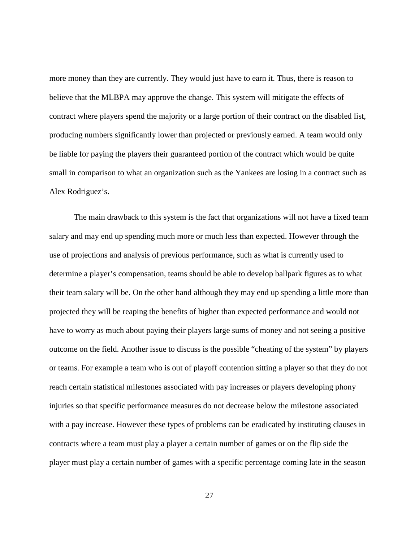more money than they are currently. They would just have to earn it. Thus, there is reason to believe that the MLBPA may approve the change. This system will mitigate the effects of contract where players spend the majority or a large portion of their contract on the disabled list, producing numbers significantly lower than projected or previously earned. A team would only be liable for paying the players their guaranteed portion of the contract which would be quite small in comparison to what an organization such as the Yankees are losing in a contract such as Alex Rodriguez's.

The main drawback to this system is the fact that organizations will not have a fixed team salary and may end up spending much more or much less than expected. However through the use of projections and analysis of previous performance, such as what is currently used to determine a player's compensation, teams should be able to develop ballpark figures as to what their team salary will be. On the other hand although they may end up spending a little more than projected they will be reaping the benefits of higher than expected performance and would not have to worry as much about paying their players large sums of money and not seeing a positive outcome on the field. Another issue to discuss is the possible "cheating of the system" by players or teams. For example a team who is out of playoff contention sitting a player so that they do not reach certain statistical milestones associated with pay increases or players developing phony injuries so that specific performance measures do not decrease below the milestone associated with a pay increase. However these types of problems can be eradicated by instituting clauses in contracts where a team must play a player a certain number of games or on the flip side the player must play a certain number of games with a specific percentage coming late in the season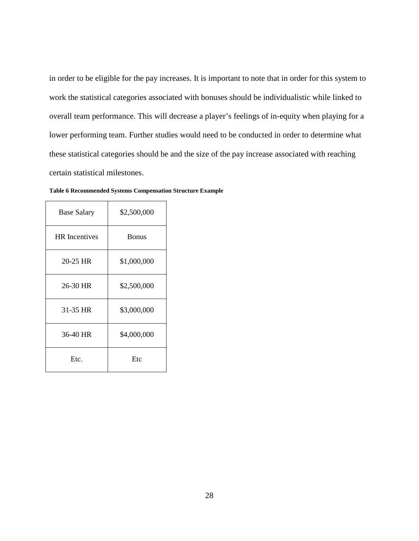in order to be eligible for the pay increases. It is important to note that in order for this system to work the statistical categories associated with bonuses should be individualistic while linked to overall team performance. This will decrease a player's feelings of in-equity when playing for a lower performing team. Further studies would need to be conducted in order to determine what these statistical categories should be and the size of the pay increase associated with reaching certain statistical milestones.

| <b>Base Salary</b>   | \$2,500,000  |
|----------------------|--------------|
| <b>HR</b> Incentives | <b>Bonus</b> |
| 20-25 HR             | \$1,000,000  |
| 26-30 HR             | \$2,500,000  |
| 31-35 HR             | \$3,000,000  |
| 36-40 HR             | \$4,000,000  |
| Etc.                 | Etc          |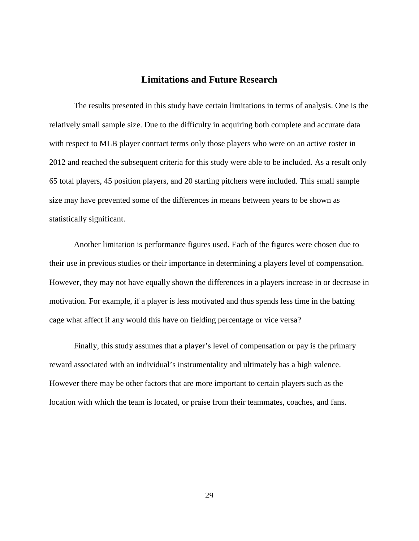# **Limitations and Future Research**

<span id="page-37-0"></span>The results presented in this study have certain limitations in terms of analysis. One is the relatively small sample size. Due to the difficulty in acquiring both complete and accurate data with respect to MLB player contract terms only those players who were on an active roster in 2012 and reached the subsequent criteria for this study were able to be included. As a result only 65 total players, 45 position players, and 20 starting pitchers were included. This small sample size may have prevented some of the differences in means between years to be shown as statistically significant.

Another limitation is performance figures used. Each of the figures were chosen due to their use in previous studies or their importance in determining a players level of compensation. However, they may not have equally shown the differences in a players increase in or decrease in motivation. For example, if a player is less motivated and thus spends less time in the batting cage what affect if any would this have on fielding percentage or vice versa?

Finally, this study assumes that a player's level of compensation or pay is the primary reward associated with an individual's instrumentality and ultimately has a high valence. However there may be other factors that are more important to certain players such as the location with which the team is located, or praise from their teammates, coaches, and fans.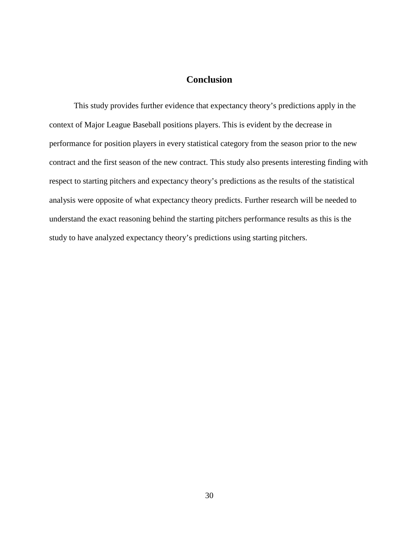# **Conclusion**

<span id="page-38-0"></span>This study provides further evidence that expectancy theory's predictions apply in the context of Major League Baseball positions players. This is evident by the decrease in performance for position players in every statistical category from the season prior to the new contract and the first season of the new contract. This study also presents interesting finding with respect to starting pitchers and expectancy theory's predictions as the results of the statistical analysis were opposite of what expectancy theory predicts. Further research will be needed to understand the exact reasoning behind the starting pitchers performance results as this is the study to have analyzed expectancy theory's predictions using starting pitchers.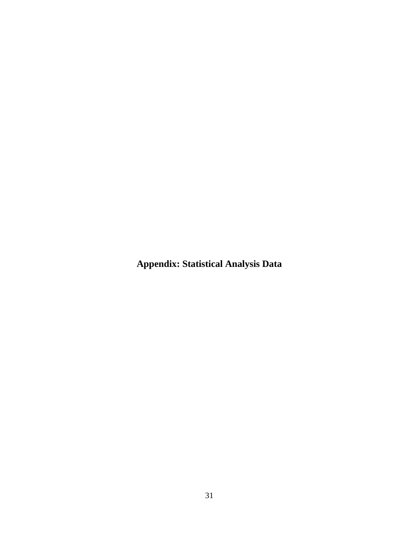<span id="page-39-0"></span>**Appendix: Statistical Analysis Data**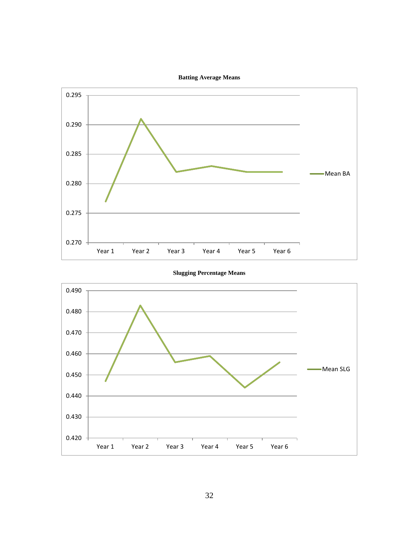





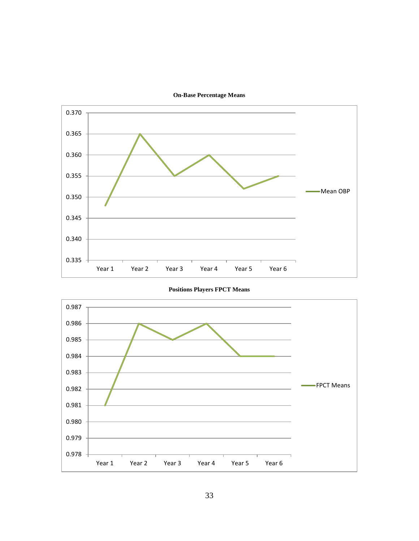



**Positions Players FPCT Means**

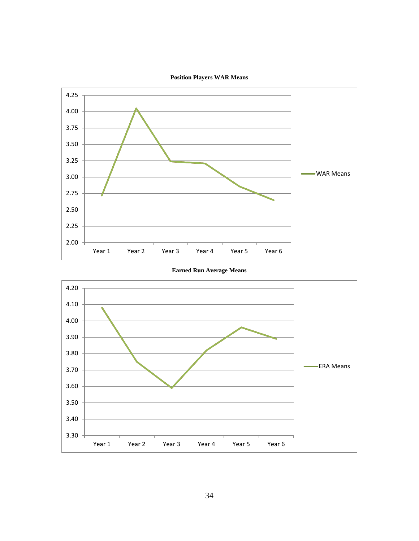





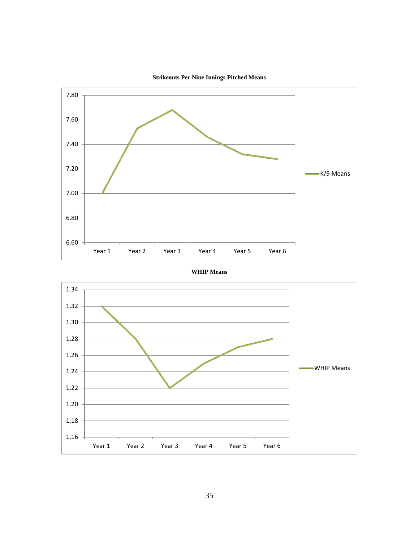





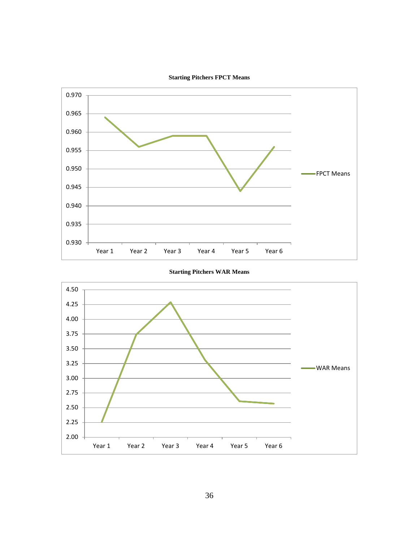



**Starting Pitchers WAR Means** 

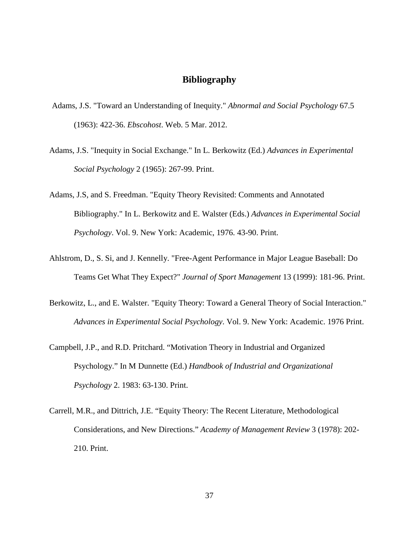# **Bibliography**

- <span id="page-45-0"></span>Adams, J.S. "Toward an Understanding of Inequity." *Abnormal and Social Psychology* 67.5 (1963): 422-36. *Ebscohost*. Web. 5 Mar. 2012.
- Adams, J.S. "Inequity in Social Exchange." In L. Berkowitz (Ed.) *Advances in Experimental Social Psychology* 2 (1965): 267-99. Print.
- Adams, J.S, and S. Freedman. "Equity Theory Revisited: Comments and Annotated Bibliography." In L. Berkowitz and E. Walster (Eds.) *Advances in Experimental Social Psychology*. Vol. 9. New York: Academic, 1976. 43-90. Print.
- Ahlstrom, D., S. Si, and J. Kennelly. "Free-Agent Performance in Major League Baseball: Do Teams Get What They Expect?" *Journal of Sport Management* 13 (1999): 181-96. Print.
- Berkowitz, L., and E. Walster. "Equity Theory: Toward a General Theory of Social Interaction." *Advances in Experimental Social Psychology*. Vol. 9. New York: Academic. 1976 Print.
- Campbell, J.P., and R.D. Pritchard. "Motivation Theory in Industrial and Organized Psychology." In M Dunnette (Ed.) *Handbook of Industrial and Organizational Psychology* 2. 1983: 63-130. Print.
- Carrell, M.R., and Dittrich, J.E. "Equity Theory: The Recent Literature, Methodological Considerations, and New Directions." *Academy of Management Review* 3 (1978): 202- 210. Print.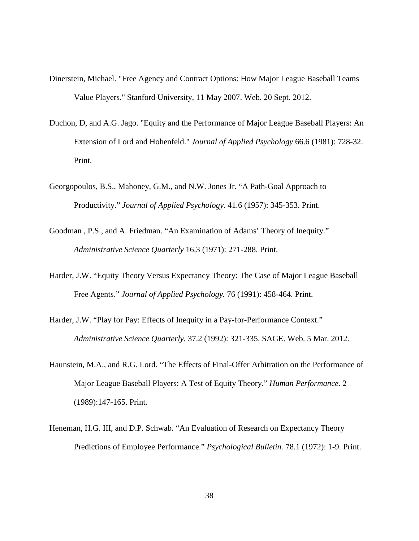- Dinerstein, Michael. "Free Agency and Contract Options: How Major League Baseball Teams Value Players." Stanford University, 11 May 2007. Web. 20 Sept. 2012.
- Duchon, D, and A.G. Jago. "Equity and the Performance of Major League Baseball Players: An Extension of Lord and Hohenfeld." *Journal of Applied Psychology* 66.6 (1981): 728-32. Print.
- Georgopoulos, B.S., Mahoney, G.M., and N.W. Jones Jr. "A Path-Goal Approach to Productivity." *Journal of Applied Psychology*. 41.6 (1957): 345-353. Print.
- Goodman , P.S., and A. Friedman. "An Examination of Adams' Theory of Inequity." *Administrative Science Quarterly* 16.3 (1971): 271-288. Print.
- Harder, J.W. "Equity Theory Versus Expectancy Theory: The Case of Major League Baseball Free Agents." *Journal of Applied Psychology.* 76 (1991): 458-464. Print.
- Harder, J.W. "Play for Pay: Effects of Inequity in a Pay-for-Performance Context." *Administrative Science Quarterly.* 37.2 (1992): 321-335. SAGE. Web. 5 Mar. 2012.
- Haunstein, M.A., and R.G. Lord. "The Effects of Final-Offer Arbitration on the Performance of Major League Baseball Players: A Test of Equity Theory." *Human Performance.* 2 (1989):147-165. Print.
- Heneman, H.G. III, and D.P. Schwab. "An Evaluation of Research on Expectancy Theory Predictions of Employee Performance." *Psychological Bulletin.* 78.1 (1972): 1-9. Print.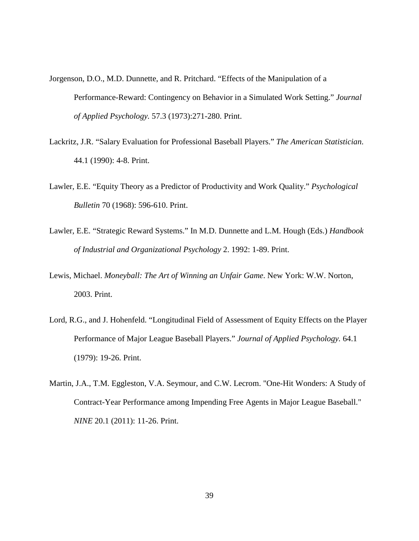- Jorgenson, D.O., M.D. Dunnette, and R. Pritchard. "Effects of the Manipulation of a Performance-Reward: Contingency on Behavior in a Simulated Work Setting." *Journal of Applied Psychology.* 57.3 (1973):271-280. Print.
- Lackritz, J.R. "Salary Evaluation for Professional Baseball Players." *The American Statistician*. 44.1 (1990): 4-8. Print.
- Lawler, E.E. "Equity Theory as a Predictor of Productivity and Work Quality." *Psychological Bulletin* 70 (1968): 596-610. Print.
- Lawler, E.E. "Strategic Reward Systems." In M.D. Dunnette and L.M. Hough (Eds.) *Handbook of Industrial and Organizational Psychology* 2. 1992: 1-89. Print.
- Lewis, Michael. *Moneyball: The Art of Winning an Unfair Game*. New York: W.W. Norton, 2003. Print.
- Lord, R.G., and J. Hohenfeld. "Longitudinal Field of Assessment of Equity Effects on the Player Performance of Major League Baseball Players." *Journal of Applied Psychology.* 64.1 (1979): 19-26. Print.
- Martin, J.A., T.M. Eggleston, V.A. Seymour, and C.W. Lecrom. "One-Hit Wonders: A Study of Contract-Year Performance among Impending Free Agents in Major League Baseball." *NINE* 20.1 (2011): 11-26. Print.